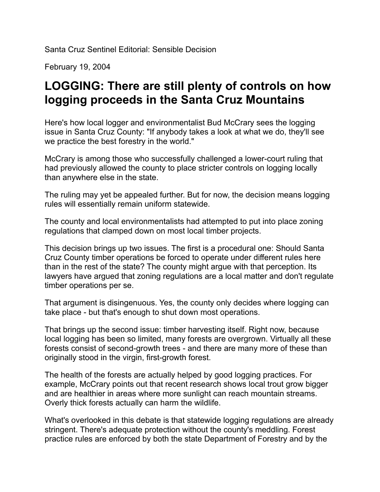Santa Cruz Sentinel Editorial: Sensible Decision

February 19, 2004

## **LOGGING: There are still plenty of controls on how logging proceeds in the Santa Cruz Mountains**

Here's how local logger and environmentalist Bud McCrary sees the logging issue in Santa Cruz County: "If anybody takes a look at what we do, they'll see we practice the best forestry in the world."

McCrary is among those who successfully challenged a lower-court ruling that had previously allowed the county to place stricter controls on logging locally than anywhere else in the state.

The ruling may yet be appealed further. But for now, the decision means logging rules will essentially remain uniform statewide.

The county and local environmentalists had attempted to put into place zoning regulations that clamped down on most local timber projects.

This decision brings up two issues. The first is a procedural one: Should Santa Cruz County timber operations be forced to operate under different rules here than in the rest of the state? The county might argue with that perception. Its lawyers have argued that zoning regulations are a local matter and don't regulate timber operations per se.

That argument is disingenuous. Yes, the county only decides where logging can take place - but that's enough to shut down most operations.

That brings up the second issue: timber harvesting itself. Right now, because local logging has been so limited, many forests are overgrown. Virtually all these forests consist of second-growth trees - and there are many more of these than originally stood in the virgin, first-growth forest.

The health of the forests are actually helped by good logging practices. For example, McCrary points out that recent research shows local trout grow bigger and are healthier in areas where more sunlight can reach mountain streams. Overly thick forests actually can harm the wildlife.

What's overlooked in this debate is that statewide logging regulations are already stringent. There's adequate protection without the county's meddling. Forest practice rules are enforced by both the state Department of Forestry and by the